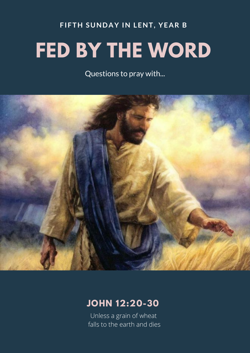## **FIFTH SUNDAY IN LENT, YEAR B FED BY THE WORD**

Questions to pray with...



## **JOHN 12:20-30**

Unless a grain of wheat falls to the earth and dies